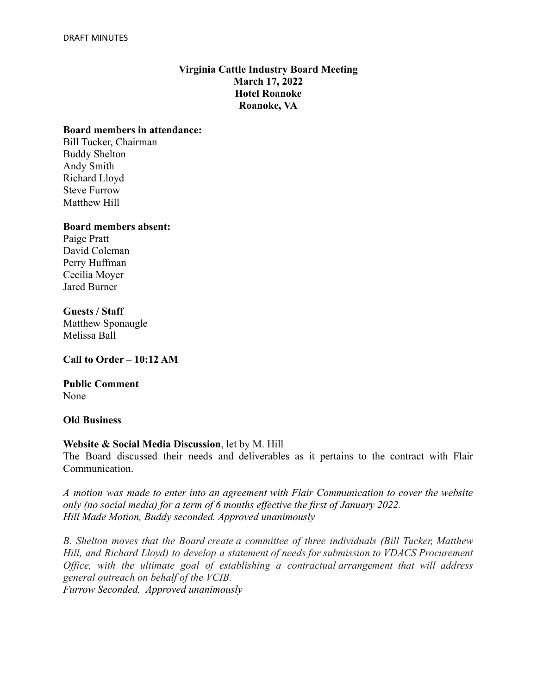# **Virginia Cattle Industry Board Meeting March 17, 2022 Hotel Roanoke Roanoke, VA**

### **Board members in attendance:**

Bill Tucker, Chairman Buddy Shelton Andy Smith Richard Lloyd Steve Furrow Matthew Hill

#### **Board members absent:**

Paige Pratt David Coleman Perry Huffman Cecilia Moyer Jared Burner

### **Guests / Staff**

Matthew Sponaugle Melissa Ball

**Call to Order – 10:12 AM**

### **Public Comment** None

### **Old Business**

### **Website & Social Media Discussion**, let by M. Hill

The Board discussed their needs and deliverables as it pertains to the contract with Flair Communication.

*A motion was made to enter into an agreement with Flair Communication to cover the website only (no social media) for a term of 6 months effective the first of January 2022. Hill Made Motion, Buddy seconded. Approved unanimously*

*B. Shelton moves that the Board create a committee of three individuals (Bill Tucker, Matthew Hill, and Richard Lloyd) to develop a statement of needs for submission to VDACS Procurement Office, with the ultimate goal of establishing a contractual arrangement that will address general outreach on behalf of the VCIB.*

*Furrow Seconded. Approved unanimously*